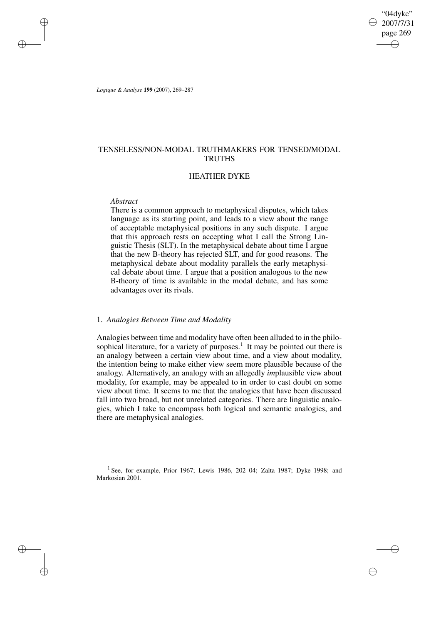"04dyke" 2007/7/31 page 269 ✐ ✐

✐

✐

*Logique & Analyse* **199** (2007), 269–287

✐

✐

✐

✐

# TENSELESS/NON-MODAL TRUTHMAKERS FOR TENSED/MODAL **TRUTHS**

# HEATHER DYKE

## *Abstract*

There is a common approach to metaphysical disputes, which takes language as its starting point, and leads to a view about the range of acceptable metaphysical positions in any such dispute. I argue that this approach rests on accepting what I call the Strong Linguistic Thesis (SLT). In the metaphysical debate about time I argue that the new B-theory has rejected SLT, and for good reasons. The metaphysical debate about modality parallels the early metaphysical debate about time. I argue that a position analogous to the new B-theory of time is available in the modal debate, and has some advantages over its rivals.

# 1. *Analogies Between Time and Modality*

Analogies between time and modality have often been alluded to in the philosophical literature, for a variety of purposes.<sup>1</sup> It may be pointed out there is an analogy between a certain view about time, and a view about modality, the intention being to make either view seem more plausible because of the analogy. Alternatively, an analogy with an allegedly *im*plausible view about modality, for example, may be appealed to in order to cast doubt on some view about time. It seems to me that the analogies that have been discussed fall into two broad, but not unrelated categories. There are linguistic analogies, which I take to encompass both logical and semantic analogies, and there are metaphysical analogies.

<sup>1</sup> See, for example, Prior 1967; Lewis 1986, 202-04; Zalta 1987; Dyke 1998; and Markosian 2001.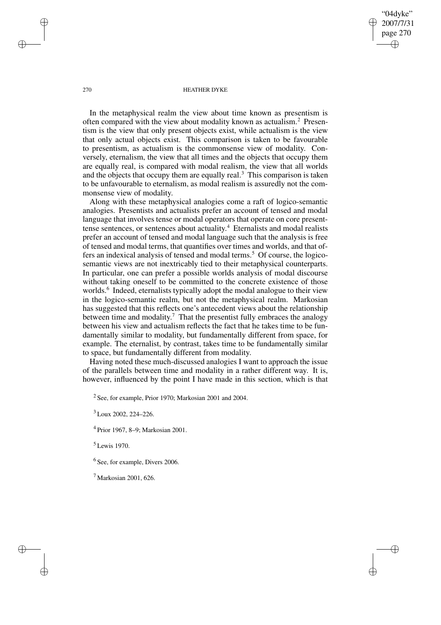"04dyke" 2007/7/31 page 270 ✐ ✐

✐

✐

### 270 HEATHER DYKE

In the metaphysical realm the view about time known as presentism is often compared with the view about modality known as actualism.<sup>2</sup> Presentism is the view that only present objects exist, while actualism is the view that only actual objects exist. This comparison is taken to be favourable to presentism, as actualism is the commonsense view of modality. Conversely, eternalism, the view that all times and the objects that occupy them are equally real, is compared with modal realism, the view that all worlds and the objects that occupy them are equally real. $3$  This comparison is taken to be unfavourable to eternalism, as modal realism is assuredly not the commonsense view of modality.

Along with these metaphysical analogies come a raft of logico-semantic analogies. Presentists and actualists prefer an account of tensed and modal language that involves tense or modal operators that operate on core presenttense sentences, or sentences about actuality. <sup>4</sup> Eternalists and modal realists prefer an account of tensed and modal language such that the analysis is free of tensed and modal terms, that quantifies over times and worlds, and that offers an indexical analysis of tensed and modal terms.<sup>5</sup> Of course, the logicosemantic views are not inextricably tied to their metaphysical counterparts. In particular, one can prefer a possible worlds analysis of modal discourse without taking oneself to be committed to the concrete existence of those worlds.<sup>6</sup> Indeed, eternalists typically adopt the modal analogue to their view in the logico-semantic realm, but not the metaphysical realm. Markosian has suggested that this reflects one's antecedent views about the relationship between time and modality.<sup>7</sup> That the presentist fully embraces the analogy between his view and actualism reflects the fact that he takes time to be fundamentally similar to modality, but fundamentally different from space, for example. The eternalist, by contrast, takes time to be fundamentally similar to space, but fundamentally different from modality.

Having noted these much-discussed analogies I want to approach the issue of the parallels between time and modality in a rather different way. It is, however, influenced by the point I have made in this section, which is that

 $2$  See, for example, Prior 1970; Markosian 2001 and 2004.

<sup>3</sup> Loux 2002, 224–226.

4 Prior 1967, 8–9; Markosian 2001.

<sup>5</sup> Lewis 1970.

<sup>6</sup> See, for example, Divers 2006.

<sup>7</sup> Markosian 2001, 626.

✐

✐

✐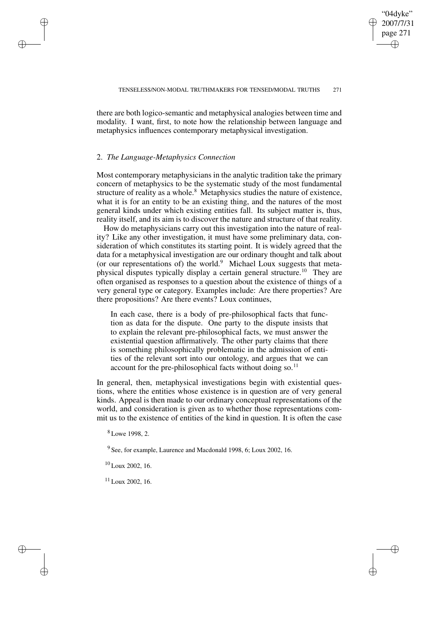✐

✐

there are both logico-semantic and metaphysical analogies between time and modality. I want, first, to note how the relationship between language and metaphysics influences contemporary metaphysical investigation.

## 2. *The Language-Metaphysics Connection*

✐

✐

✐

✐

Most contemporary metaphysicians in the analytic tradition take the primary concern of metaphysics to be the systematic study of the most fundamental structure of reality as a whole.<sup>8</sup> Metaphysics studies the nature of existence, what it is for an entity to be an existing thing, and the natures of the most general kinds under which existing entities fall. Its subject matter is, thus, reality itself, and its aim is to discover the nature and structure of that reality.

How do metaphysicians carry out this investigation into the nature of reality? Like any other investigation, it must have some preliminary data, consideration of which constitutes its starting point. It is widely agreed that the data for a metaphysical investigation are our ordinary thought and talk about (or our representations of) the world.<sup>9</sup> Michael Loux suggests that metaphysical disputes typically display a certain general structure.<sup>10</sup> They are often organised as responses to a question about the existence of things of a very general type or category. Examples include: Are there properties? Are there propositions? Are there events? Loux continues,

In each case, there is a body of pre-philosophical facts that function as data for the dispute. One party to the dispute insists that to explain the relevant pre-philosophical facts, we must answer the existential question affirmatively. The other party claims that there is something philosophically problematic in the admission of entities of the relevant sort into our ontology, and argues that we can account for the pre-philosophical facts without doing so.<sup>11</sup>

In general, then, metaphysical investigations begin with existential questions, where the entities whose existence is in question are of very general kinds. Appeal is then made to our ordinary conceptual representations of the world, and consideration is given as to whether those representations commit us to the existence of entities of the kind in question. It is often the case

<sup>8</sup> Lowe 1998, 2.

<sup>9</sup> See, for example, Laurence and Macdonald 1998, 6; Loux 2002, 16.

<sup>10</sup> Loux 2002, 16.

 $11$  Loux 2002, 16.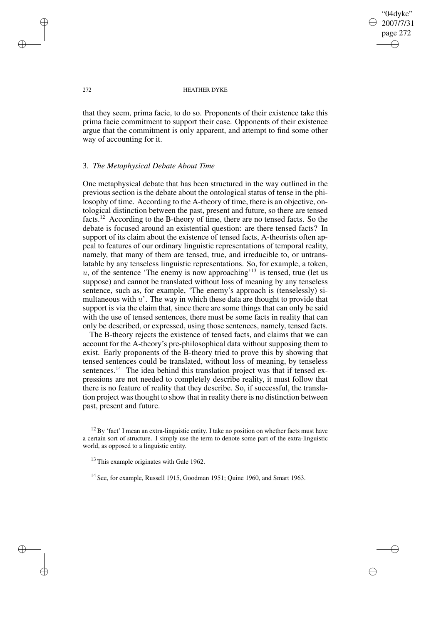"04dyke" 2007/7/31 page 272 ✐ ✐

✐

✐

## 272 HEATHER DYKE

that they seem, prima facie, to do so. Proponents of their existence take this prima facie commitment to support their case. Opponents of their existence argue that the commitment is only apparent, and attempt to find some other way of accounting for it.

# 3. *The Metaphysical Debate About Time*

One metaphysical debate that has been structured in the way outlined in the previous section is the debate about the ontological status of tense in the philosophy of time. According to the A-theory of time, there is an objective, ontological distinction between the past, present and future, so there are tensed facts.<sup>12</sup> According to the B-theory of time, there are no tensed facts. So the debate is focused around an existential question: are there tensed facts? In support of its claim about the existence of tensed facts, A-theorists often appeal to features of our ordinary linguistic representations of temporal reality, namely, that many of them are tensed, true, and irreducible to, or untranslatable by any tenseless linguistic representations. So, for example, a token, u, of the sentence 'The enemy is now approaching'<sup>13</sup> is tensed, true (let us suppose) and cannot be translated without loss of meaning by any tenseless sentence, such as, for example, 'The enemy's approach is (tenselessly) simultaneous with  $u'$ . The way in which these data are thought to provide that support is via the claim that, since there are some things that can only be said with the use of tensed sentences, there must be some facts in reality that can only be described, or expressed, using those sentences, namely, tensed facts.

The B-theory rejects the existence of tensed facts, and claims that we can account for the A-theory's pre-philosophical data without supposing them to exist. Early proponents of the B-theory tried to prove this by showing that tensed sentences could be translated, without loss of meaning, by tenseless sentences.<sup>14</sup> The idea behind this translation project was that if tensed expressions are not needed to completely describe reality, it must follow that there is no feature of reality that they describe. So, if successful, the translation project wasthought to show that in reality there is no distinction between past, present and future.

✐

✐

✐

 $12$  By 'fact' I mean an extra-linguistic entity. I take no position on whether facts must have a certain sort of structure. I simply use the term to denote some part of the extra-linguistic world, as opposed to a linguistic entity.

<sup>&</sup>lt;sup>13</sup> This example originates with Gale 1962.

<sup>&</sup>lt;sup>14</sup> See, for example, Russell 1915, Goodman 1951; Ouine 1960, and Smart 1963.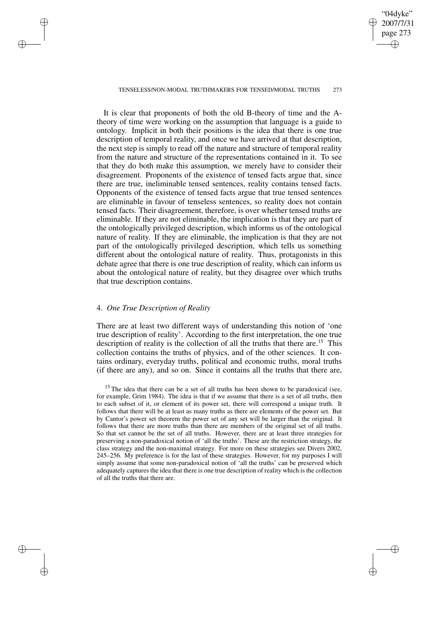"04dyke" 2007/7/31 page 273

✐

✐

✐

✐

It is clear that proponents of both the old B-theory of time and the Atheory of time were working on the assumption that language is a guide to ontology. Implicit in both their positions is the idea that there is one true description of temporal reality, and once we have arrived at that description, the next step is simply to read off the nature and structure of temporal reality from the nature and structure of the representations contained in it. To see that they do both make this assumption, we merely have to consider their disagreement. Proponents of the existence of tensed facts argue that, since there are true, ineliminable tensed sentences, reality contains tensed facts. Opponents of the existence of tensed facts argue that true tensed sentences are eliminable in favour of tenseless sentences, so reality does not contain tensed facts. Their disagreement, therefore, is over whether tensed truths are eliminable. If they are not eliminable, the implication is that they are part of the ontologically privileged description, which informs us of the ontological nature of reality. If they are eliminable, the implication is that they are not part of the ontologically privileged description, which tells us something different about the ontological nature of reality. Thus, protagonists in this debate agree that there is one true description of reality, which can inform us about the ontological nature of reality, but they disagree over which truths that true description contains.

## 4. *One True Description of Reality*

✐

✐

✐

✐

There are at least two different ways of understanding this notion of 'one true description of reality'. According to the first interpretation, the one true description of reality is the collection of all the truths that there are.<sup>15</sup> This collection contains the truths of physics, and of the other sciences. It contains ordinary, everyday truths, political and economic truths, moral truths (if there are any), and so on. Since it contains all the truths that there are,

 $15$  The idea that there can be a set of all truths has been shown to be paradoxical (see, for example, Grim 1984). The idea is that if we assume that there is a set of all truths, then to each subset of it, or element of its power set, there will correspond a unique truth. It follows that there will be at least as many truths as there are elements of the power set. But by Cantor's power set theorem the power set of any set will be larger than the original. It follows that there are more truths than there are members of the original set of all truths. So that set cannot be the set of all truths. However, there are at least three strategies for preserving a non-paradoxical notion of 'all the truths'. These are the restriction strategy, the class strategy and the non-maximal strategy. For more on these strategies see Divers 2002, 245–256. My preference is for the last of these strategies. However, for my purposes I will simply assume that some non-paradoxical notion of 'all the truths' can be preserved which adequately captures the idea that there is one true description of reality which is the collection of all the truths that there are.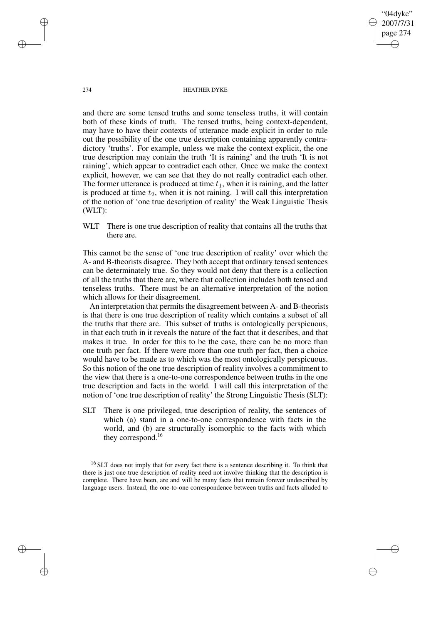"04dyke" 2007/7/31 page 274 ✐ ✐

✐

✐

274 HEATHER DYKE

and there are some tensed truths and some tenseless truths, it will contain both of these kinds of truth. The tensed truths, being context-dependent, may have to have their contexts of utterance made explicit in order to rule out the possibility of the one true description containing apparently contradictory 'truths'. For example, unless we make the context explicit, the one true description may contain the truth 'It is raining' and the truth 'It is not raining', which appear to contradict each other. Once we make the context explicit, however, we can see that they do not really contradict each other. The former utterance is produced at time  $t_1$ , when it is raining, and the latter is produced at time  $t_2$ , when it is not raining. I will call this interpretation of the notion of 'one true description of reality' the Weak Linguistic Thesis (WLT):

WLT There is one true description of reality that contains all the truths that there are.

This cannot be the sense of 'one true description of reality' over which the A- and B-theorists disagree. They both accept that ordinary tensed sentences can be determinately true. So they would not deny that there is a collection of all the truths that there are, where that collection includes both tensed and tenseless truths. There must be an alternative interpretation of the notion which allows for their disagreement.

An interpretation that permits the disagreement between A- and B-theorists is that there is one true description of reality which contains a subset of all the truths that there are. This subset of truths is ontologically perspicuous, in that each truth in it reveals the nature of the fact that it describes, and that makes it true. In order for this to be the case, there can be no more than one truth per fact. If there were more than one truth per fact, then a choice would have to be made as to which was the most ontologically perspicuous. So this notion of the one true description of reality involves a commitment to the view that there is a one-to-one correspondence between truths in the one true description and facts in the world. I will call this interpretation of the notion of 'one true description of reality' the Strong Linguistic Thesis (SLT):

SLT There is one privileged, true description of reality, the sentences of which (a) stand in a one-to-one correspondence with facts in the world, and (b) are structurally isomorphic to the facts with which they correspond.<sup>16</sup>

✐

✐

✐

<sup>&</sup>lt;sup>16</sup> SLT does not imply that for every fact there is a sentence describing it. To think that there is just one true description of reality need not involve thinking that the description is complete. There have been, are and will be many facts that remain forever undescribed by language users. Instead, the one-to-one correspondence between truths and facts alluded to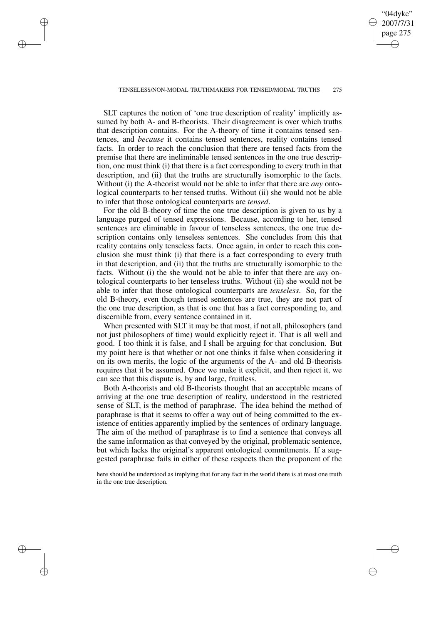✐

✐

✐

✐

)4dvke' 2007/7/31 page 275

✐

✐

✐

✐

SLT captures the notion of 'one true description of reality' implicitly assumed by both A- and B-theorists. Their disagreement is over which truths that description contains. For the A-theory of time it contains tensed sentences, and *because* it contains tensed sentences, reality contains tensed facts. In order to reach the conclusion that there are tensed facts from the premise that there are ineliminable tensed sentences in the one true description, one must think (i) that there is a fact corresponding to every truth in that description, and (ii) that the truths are structurally isomorphic to the facts. Without (i) the A-theorist would not be able to infer that there are *any* ontological counterparts to her tensed truths. Without (ii) she would not be able to infer that those ontological counterparts are *tensed*.

For the old B-theory of time the one true description is given to us by a language purged of tensed expressions. Because, according to her, tensed sentences are eliminable in favour of tenseless sentences, the one true description contains only tenseless sentences. She concludes from this that reality contains only tenseless facts. Once again, in order to reach this conclusion she must think (i) that there is a fact corresponding to every truth in that description, and (ii) that the truths are structurally isomorphic to the facts. Without (i) the she would not be able to infer that there are *any* ontological counterparts to her tenseless truths. Without (ii) she would not be able to infer that those ontological counterparts are *tenseless*. So, for the old B-theory, even though tensed sentences are true, they are not part of the one true description, as that is one that has a fact corresponding to, and discernible from, every sentence contained in it.

When presented with SLT it may be that most, if not all, philosophers (and not just philosophers of time) would explicitly reject it. That is all well and good. I too think it is false, and I shall be arguing for that conclusion. But my point here is that whether or not one thinks it false when considering it on its own merits, the logic of the arguments of the A- and old B-theorists requires that it be assumed. Once we make it explicit, and then reject it, we can see that this dispute is, by and large, fruitless.

Both A-theorists and old B-theorists thought that an acceptable means of arriving at the one true description of reality, understood in the restricted sense of SLT, is the method of paraphrase. The idea behind the method of paraphrase is that it seems to offer a way out of being committed to the existence of entities apparently implied by the sentences of ordinary language. The aim of the method of paraphrase is to find a sentence that conveys all the same information as that conveyed by the original, problematic sentence, but which lacks the original's apparent ontological commitments. If a suggested paraphrase fails in either of these respects then the proponent of the

here should be understood as implying that for any fact in the world there is at most one truth in the one true description.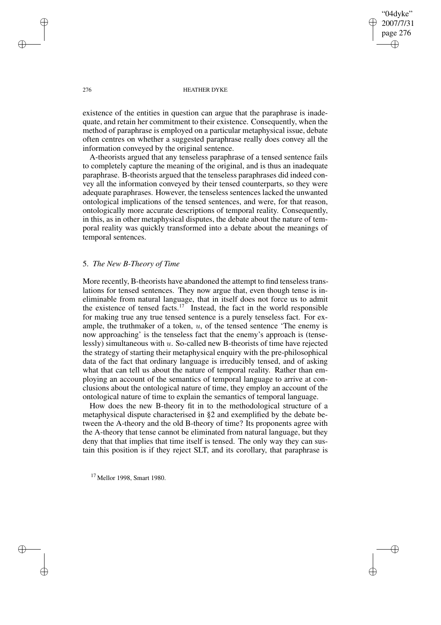"04dyke" 2007/7/31 page 276 ✐ ✐

✐

✐

## 276 HEATHER DYKE

existence of the entities in question can argue that the paraphrase is inadequate, and retain her commitment to their existence. Consequently, when the method of paraphrase is employed on a particular metaphysical issue, debate often centres on whether a suggested paraphrase really does convey all the information conveyed by the original sentence.

A-theorists argued that any tenseless paraphrase of a tensed sentence fails to completely capture the meaning of the original, and is thus an inadequate paraphrase. B-theorists argued that the tenseless paraphrases did indeed convey all the information conveyed by their tensed counterparts, so they were adequate paraphrases. However, the tenseless sentences lacked the unwanted ontological implications of the tensed sentences, and were, for that reason, ontologically more accurate descriptions of temporal reality. Consequently, in this, as in other metaphysical disputes, the debate about the nature of temporal reality was quickly transformed into a debate about the meanings of temporal sentences.

# 5. *The New B-Theory of Time*

More recently, B-theorists have abandoned the attempt to find tenseless translations for tensed sentences. They now argue that, even though tense is ineliminable from natural language, that in itself does not force us to admit the existence of tensed facts.<sup>17</sup> Instead, the fact in the world responsible for making true any true tensed sentence is a purely tenseless fact. For example, the truthmaker of a token,  $u$ , of the tensed sentence 'The enemy is now approaching' is the tenseless fact that the enemy's approach is (tenselessly) simultaneous with  $u$ . So-called new B-theorists of time have rejected the strategy of starting their metaphysical enquiry with the pre-philosophical data of the fact that ordinary language is irreducibly tensed, and of asking what that can tell us about the nature of temporal reality. Rather than employing an account of the semantics of temporal language to arrive at conclusions about the ontological nature of time, they employ an account of the ontological nature of time to explain the semantics of temporal language.

How does the new B-theory fit in to the methodological structure of a metaphysical dispute characterised in §2 and exemplified by the debate between the A-theory and the old B-theory of time? Its proponents agree with the A-theory that tense cannot be eliminated from natural language, but they deny that that implies that time itself is tensed. The only way they can sustain this position is if they reject SLT, and its corollary, that paraphrase is

<sup>17</sup> Mellor 1998, Smart 1980.

✐

✐

✐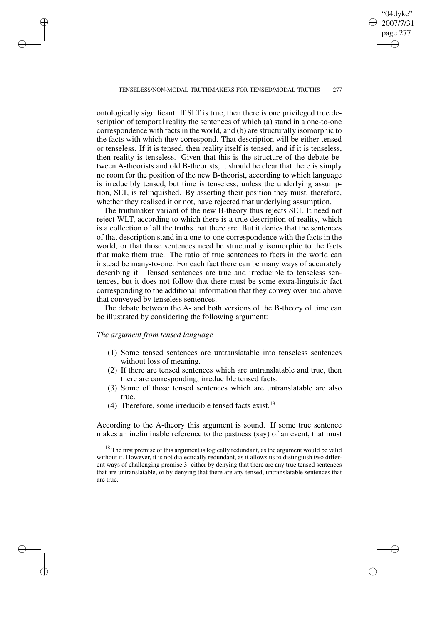"04dyke" 2007/7/31 page 277

✐

✐

✐

✐

ontologically significant. If SLT is true, then there is one privileged true description of temporal reality the sentences of which (a) stand in a one-to-one correspondence with facts in the world, and (b) are structurally isomorphic to the facts with which they correspond. That description will be either tensed or tenseless. If it is tensed, then reality itself is tensed, and if it is tenseless, then reality is tenseless. Given that this is the structure of the debate between A-theorists and old B-theorists, it should be clear that there is simply no room for the position of the new B-theorist, according to which language is irreducibly tensed, but time is tenseless, unless the underlying assumption, SLT, is relinquished. By asserting their position they must, therefore, whether they realised it or not, have rejected that underlying assumption.

The truthmaker variant of the new B-theory thus rejects SLT. It need not reject WLT, according to which there is a true description of reality, which is a collection of all the truths that there are. But it denies that the sentences of that description stand in a one-to-one correspondence with the facts in the world, or that those sentences need be structurally isomorphic to the facts that make them true. The ratio of true sentences to facts in the world can instead be many-to-one. For each fact there can be many ways of accurately describing it. Tensed sentences are true and irreducible to tenseless sentences, but it does not follow that there must be some extra-linguistic fact corresponding to the additional information that they convey over and above that conveyed by tenseless sentences.

The debate between the A- and both versions of the B-theory of time can be illustrated by considering the following argument:

## *The argument from tensed language*

✐

✐

✐

✐

- (1) Some tensed sentences are untranslatable into tenseless sentences without loss of meaning.
- (2) If there are tensed sentences which are untranslatable and true, then there are corresponding, irreducible tensed facts.
- (3) Some of those tensed sentences which are untranslatable are also true.
- (4) Therefore, some irreducible tensed facts exist.<sup>18</sup>

According to the A-theory this argument is sound. If some true sentence makes an ineliminable reference to the pastness (say) of an event, that must

<sup>&</sup>lt;sup>18</sup> The first premise of this argument is logically redundant, as the argument would be valid without it. However, it is not dialectically redundant, as it allows us to distinguish two different ways of challenging premise 3: either by denying that there are any true tensed sentences that are untranslatable, or by denying that there are any tensed, untranslatable sentences that are true.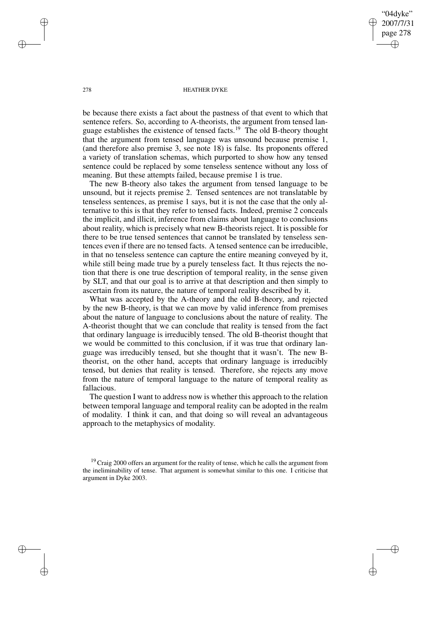04dvke' 2007/7/31 page 278 ✐ ✐

✐

✐

### 278 HEATHER DYKE

be because there exists a fact about the pastness of that event to which that sentence refers. So, according to A-theorists, the argument from tensed language establishes the existence of tensed facts.<sup>19</sup> The old B-theory thought that the argument from tensed language was unsound because premise 1, (and therefore also premise 3, see note 18) is false. Its proponents offered a variety of translation schemas, which purported to show how any tensed sentence could be replaced by some tenseless sentence without any loss of meaning. But these attempts failed, because premise 1 is true.

The new B-theory also takes the argument from tensed language to be unsound, but it rejects premise 2. Tensed sentences are not translatable by tenseless sentences, as premise 1 says, but it is not the case that the only alternative to this is that they refer to tensed facts. Indeed, premise 2 conceals the implicit, and illicit, inference from claims about language to conclusions about reality, which is precisely what new B-theorists reject. It is possible for there to be true tensed sentences that cannot be translated by tenseless sentences even if there are no tensed facts. A tensed sentence can be irreducible, in that no tenseless sentence can capture the entire meaning conveyed by it, while still being made true by a purely tenseless fact. It thus rejects the notion that there is one true description of temporal reality, in the sense given by SLT, and that our goal is to arrive at that description and then simply to ascertain from its nature, the nature of temporal reality described by it.

What was accepted by the A-theory and the old B-theory, and rejected by the new B-theory, is that we can move by valid inference from premises about the nature of language to conclusions about the nature of reality. The A-theorist thought that we can conclude that reality is tensed from the fact that ordinary language is irreducibly tensed. The old B-theorist thought that we would be committed to this conclusion, if it was true that ordinary language was irreducibly tensed, but she thought that it wasn't. The new Btheorist, on the other hand, accepts that ordinary language is irreducibly tensed, but denies that reality is tensed. Therefore, she rejects any move from the nature of temporal language to the nature of temporal reality as fallacious.

The question I want to address now is whether this approach to the relation between temporal language and temporal reality can be adopted in the realm of modality. I think it can, and that doing so will reveal an advantageous approach to the metaphysics of modality.

✐

✐

✐

<sup>&</sup>lt;sup>19</sup> Craig 2000 offers an argument for the reality of tense, which he calls the argument from the ineliminability of tense. That argument is somewhat similar to this one. I criticise that argument in Dyke 2003.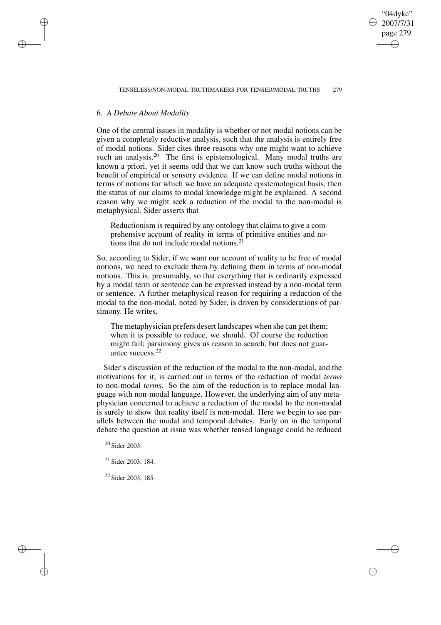04dyke' 2007/7/31 page 279

✐

✐

✐

✐

# 6. *A Debate About Modality*

✐

✐

✐

✐

One of the central issues in modality is whether or not modal notions can be given a completely reductive analysis, such that the analysis is entirely free of modal notions. Sider cites three reasons why one might want to achieve such an analysis.<sup>20</sup> The first is epistemological. Many modal truths are known a priori, yet it seems odd that we can know such truths without the benefit of empirical or sensory evidence. If we can define modal notions in terms of notions for which we have an adequate epistemological basis, then the status of our claims to modal knowledge might be explained. A second reason why we might seek a reduction of the modal to the non-modal is metaphysical. Sider asserts that

Reductionism is required by any ontology that claims to give a comprehensive account of reality in terms of primitive entities and notions that do not include modal notions.<sup>21</sup>

So, according to Sider, if we want our account of reality to be free of modal notions, we need to exclude them by defining them in terms of non-modal notions. This is, presumably, so that everything that is ordinarily expressed by a modal term or sentence can be expressed instead by a non-modal term or sentence. A further metaphysical reason for requiring a reduction of the modal to the non-modal, noted by Sider, is driven by considerations of parsimony. He writes,

The metaphysician prefers desert landscapes when she can get them; when it is possible to reduce, we should. Of course the reduction might fail; parsimony gives us reason to search, but does not guarantee success.<sup>22</sup>

Sider's discussion of the reduction of the modal to the non-modal, and the motivations for it, is carried out in terms of the reduction of modal *terms* to non-modal *terms*. So the aim of the reduction is to replace modal language with non-modal language. However, the underlying aim of any metaphysician concerned to achieve a reduction of the modal to the non-modal is surely to show that reality itself is non-modal. Here we begin to see parallels between the modal and temporal debates. Early on in the temporal debate the question at issue was whether tensed language could be reduced

<sup>20</sup> Sider 2003.

<sup>21</sup> Sider 2003, 184.

<sup>22</sup> Sider 2003, 185.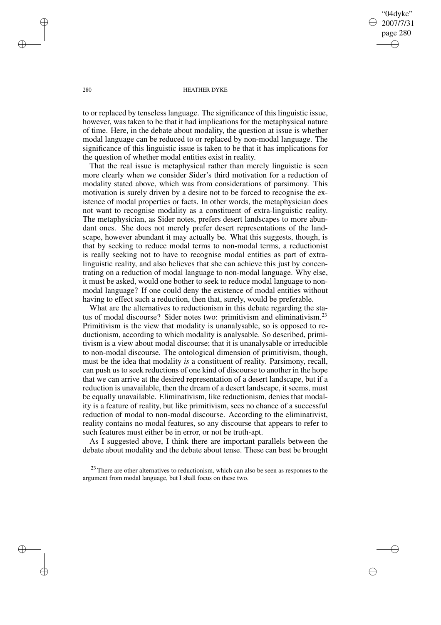04dvke' 2007/7/31 page 280 ✐ ✐

✐

✐

### 280 HEATHER DYKE

to or replaced by tenseless language. The significance of this linguistic issue, however, was taken to be that it had implications for the metaphysical nature of time. Here, in the debate about modality, the question at issue is whether modal language can be reduced to or replaced by non-modal language. The significance of this linguistic issue is taken to be that it has implications for the question of whether modal entities exist in reality.

That the real issue is metaphysical rather than merely linguistic is seen more clearly when we consider Sider's third motivation for a reduction of modality stated above, which was from considerations of parsimony. This motivation is surely driven by a desire not to be forced to recognise the existence of modal properties or facts. In other words, the metaphysician does not want to recognise modality as a constituent of extra-linguistic reality. The metaphysician, as Sider notes, prefers desert landscapes to more abundant ones. She does not merely prefer desert representations of the landscape, however abundant it may actually be. What this suggests, though, is that by seeking to reduce modal terms to non-modal terms, a reductionist is really seeking not to have to recognise modal entities as part of extralinguistic reality, and also believes that she can achieve this just by concentrating on a reduction of modal language to non-modal language. Why else, it must be asked, would one bother to seek to reduce modal language to nonmodal language? If one could deny the existence of modal entities without having to effect such a reduction, then that, surely, would be preferable.

What are the alternatives to reductionism in this debate regarding the status of modal discourse? Sider notes two: primitivism and eliminativism.<sup>23</sup> Primitivism is the view that modality is unanalysable, so is opposed to reductionism, according to which modality is analysable. So described, primitivism is a view about modal discourse; that it is unanalysable or irreducible to non-modal discourse. The ontological dimension of primitivism, though, must be the idea that modality *is* a constituent of reality. Parsimony, recall, can push us to seek reductions of one kind of discourse to another in the hope that we can arrive at the desired representation of a desert landscape, but if a reduction is unavailable, then the dream of a desert landscape, it seems, must be equally unavailable. Eliminativism, like reductionism, denies that modality is a feature of reality, but like primitivism, sees no chance of a successful reduction of modal to non-modal discourse. According to the eliminativist, reality contains no modal features, so any discourse that appears to refer to such features must either be in error, or not be truth-apt.

As I suggested above, I think there are important parallels between the debate about modality and the debate about tense. These can best be brought

✐

✐

✐

<sup>&</sup>lt;sup>23</sup> There are other alternatives to reductionism, which can also be seen as responses to the argument from modal language, but I shall focus on these two.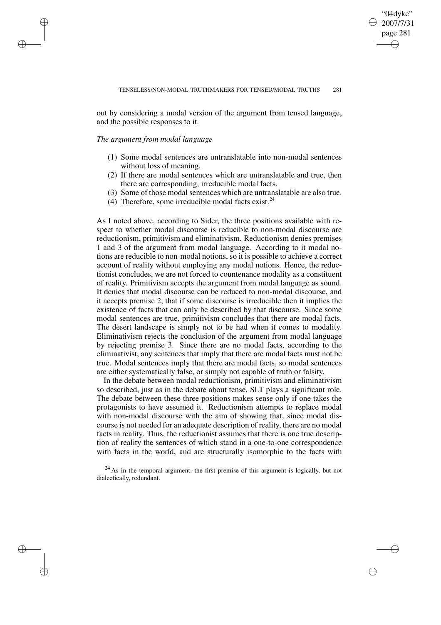"04dyke" 2007/7/31 page 281

✐

✐

✐

✐

out by considering a modal version of the argument from tensed language, and the possible responses to it.

## *The argument from modal language*

✐

✐

✐

✐

- (1) Some modal sentences are untranslatable into non-modal sentences without loss of meaning.
- (2) If there are modal sentences which are untranslatable and true, then there are corresponding, irreducible modal facts.
- (3) Some of those modal sentences which are untranslatable are also true.
- (4) Therefore, some irreducible modal facts exist. $24$

As I noted above, according to Sider, the three positions available with respect to whether modal discourse is reducible to non-modal discourse are reductionism, primitivism and eliminativism. Reductionism denies premises 1 and 3 of the argument from modal language. According to it modal notions are reducible to non-modal notions, so it is possible to achieve a correct account of reality without employing any modal notions. Hence, the reductionist concludes, we are not forced to countenance modality as a constituent of reality. Primitivism accepts the argument from modal language as sound. It denies that modal discourse can be reduced to non-modal discourse, and it accepts premise 2, that if some discourse is irreducible then it implies the existence of facts that can only be described by that discourse. Since some modal sentences are true, primitivism concludes that there are modal facts. The desert landscape is simply not to be had when it comes to modality. Eliminativism rejects the conclusion of the argument from modal language by rejecting premise 3. Since there are no modal facts, according to the eliminativist, any sentences that imply that there are modal facts must not be true. Modal sentences imply that there are modal facts, so modal sentences are either systematically false, or simply not capable of truth or falsity.

In the debate between modal reductionism, primitivism and eliminativism so described, just as in the debate about tense, SLT plays a significant role. The debate between these three positions makes sense only if one takes the protagonists to have assumed it. Reductionism attempts to replace modal with non-modal discourse with the aim of showing that, since modal discourse is not needed for an adequate description of reality, there are no modal facts in reality. Thus, the reductionist assumes that there is one true description of reality the sentences of which stand in a one-to-one correspondence with facts in the world, and are structurally isomorphic to the facts with

 $24$  As in the temporal argument, the first premise of this argument is logically, but not dialectically, redundant.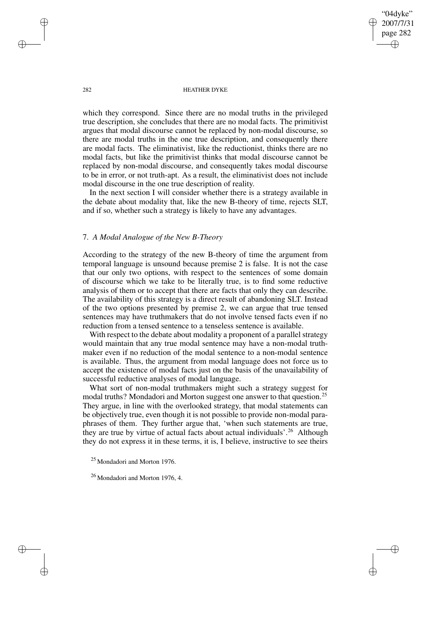04dyke' 2007/7/31 page 282 ✐ ✐

✐

✐

### 282 HEATHER DYKE

which they correspond. Since there are no modal truths in the privileged true description, she concludes that there are no modal facts. The primitivist argues that modal discourse cannot be replaced by non-modal discourse, so there are modal truths in the one true description, and consequently there are modal facts. The eliminativist, like the reductionist, thinks there are no modal facts, but like the primitivist thinks that modal discourse cannot be replaced by non-modal discourse, and consequently takes modal discourse to be in error, or not truth-apt. As a result, the eliminativist does not include modal discourse in the one true description of reality.

In the next section I will consider whether there is a strategy available in the debate about modality that, like the new B-theory of time, rejects SLT, and if so, whether such a strategy is likely to have any advantages.

## 7. *A Modal Analogue of the New B-Theory*

According to the strategy of the new B-theory of time the argument from temporal language is unsound because premise 2 is false. It is not the case that our only two options, with respect to the sentences of some domain of discourse which we take to be literally true, is to find some reductive analysis of them or to accept that there are facts that only they can describe. The availability of this strategy is a direct result of abandoning SLT. Instead of the two options presented by premise 2, we can argue that true tensed sentences may have truthmakers that do not involve tensed facts even if no reduction from a tensed sentence to a tenseless sentence is available.

With respect to the debate about modality a proponent of a parallel strategy would maintain that any true modal sentence may have a non-modal truthmaker even if no reduction of the modal sentence to a non-modal sentence is available. Thus, the argument from modal language does not force us to accept the existence of modal facts just on the basis of the unavailability of successful reductive analyses of modal language.

What sort of non-modal truthmakers might such a strategy suggest for modal truths? Mondadori and Morton suggest one answer to that question.<sup>25</sup> They argue, in line with the overlooked strategy, that modal statements can be objectively true, even though it is not possible to provide non-modal paraphrases of them. They further argue that, 'when such statements are true, they are true by virtue of actual facts about actual individuals'.<sup>26</sup> Although they do not express it in these terms, it is, I believe, instructive to see theirs

✐

✐

✐

<sup>25</sup> Mondadori and Morton 1976.

<sup>26</sup> Mondadori and Morton 1976, 4.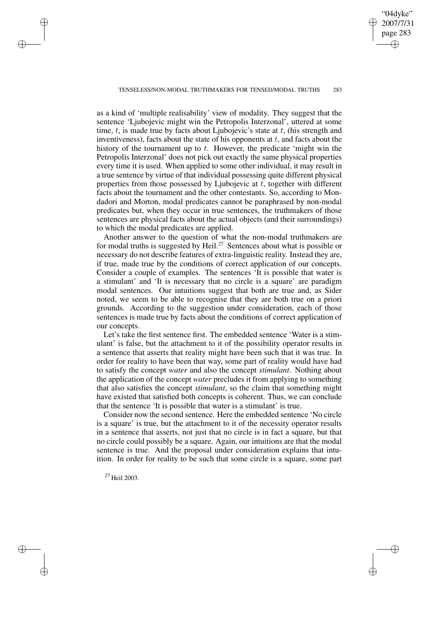04dvke' 2007/7/31 page 283

✐

✐

✐

✐

as a kind of 'multiple realisability' view of modality. They suggest that the sentence 'Ljubojevic might win the Petropolis Interzonal', uttered at some time,  $t$ , is made true by facts about Ljubojevic's state at  $t$ , (his strength and inventiveness), facts about the state of his opponents at  $t$ , and facts about the history of the tournament up to  $t$ . However, the predicate 'might win the Petropolis Interzonal' does not pick out exactly the same physical properties every time it is used. When applied to some other individual, it may result in a true sentence by virtue of that individual possessing quite different physical properties from those possessed by Ljubojevic at  $t$ , together with different facts about the tournament and the other contestants. So, according to Mondadori and Morton, modal predicates cannot be paraphrased by non-modal predicates but, when they occur in true sentences, the truthmakers of those sentences are physical facts about the actual objects (and their surroundings) to which the modal predicates are applied.

Another answer to the question of what the non-modal truthmakers are for modal truths is suggested by Heil.<sup>27</sup> Sentences about what is possible or necessary do not describe features of extra-linguistic reality. Instead they are, if true, made true by the conditions of correct application of our concepts. Consider a couple of examples. The sentences 'It is possible that water is a stimulant' and 'It is necessary that no circle is a square' are paradigm modal sentences. Our intuitions suggest that both are true and, as Sider noted, we seem to be able to recognise that they are both true on a priori grounds. According to the suggestion under consideration, each of those sentences is made true by facts about the conditions of correct application of our concepts.

Let's take the first sentence first. The embedded sentence 'Water is a stimulant' is false, but the attachment to it of the possibility operator results in a sentence that asserts that reality might have been such that it was true. In order for reality to have been that way, some part of reality would have had to satisfy the concept *water* and also the concept *stimulant*. Nothing about the application of the concept *water* precludes it from applying to something that also satisfies the concept *stimulant*, so the claim that something might have existed that satisfied both concepts is coherent. Thus, we can conclude that the sentence 'It is possible that water is a stimulant' is true.

Consider now the second sentence. Here the embedded sentence 'No circle is a square' is true, but the attachment to it of the necessity operator results in a sentence that asserts, not just that no circle is in fact a square, but that no circle could possibly be a square. Again, our intuitions are that the modal sentence is true. And the proposal under consideration explains that intuition. In order for reality to be such that some circle is a square, some part

<sup>27</sup> Heil 2003.

✐

✐

✐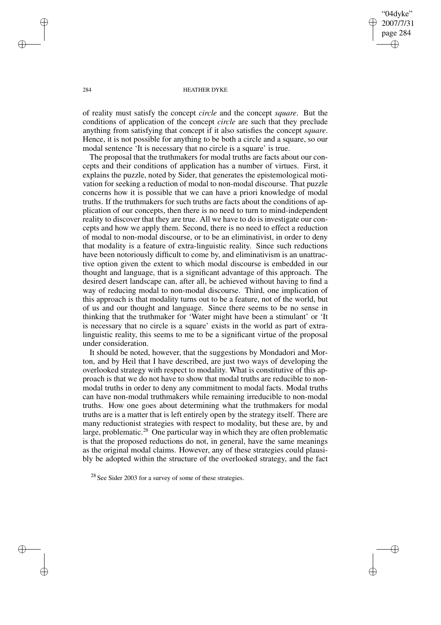04dvke' 2007/7/31 page 284 ✐ ✐

✐

✐

## 284 HEATHER DYKE

of reality must satisfy the concept *circle* and the concept *square*. But the conditions of application of the concept *circle* are such that they preclude anything from satisfying that concept if it also satisfies the concept *square*. Hence, it is not possible for anything to be both a circle and a square, so our modal sentence 'It is necessary that no circle is a square' is true.

The proposal that the truthmakers for modal truths are facts about our concepts and their conditions of application has a number of virtues. First, it explains the puzzle, noted by Sider, that generates the epistemological motivation for seeking a reduction of modal to non-modal discourse. That puzzle concerns how it is possible that we can have a priori knowledge of modal truths. If the truthmakers for such truths are facts about the conditions of application of our concepts, then there is no need to turn to mind-independent reality to discover that they are true. All we have to do is investigate our concepts and how we apply them. Second, there is no need to effect a reduction of modal to non-modal discourse, or to be an eliminativist, in order to deny that modality is a feature of extra-linguistic reality. Since such reductions have been notoriously difficult to come by, and eliminativism is an unattractive option given the extent to which modal discourse is embedded in our thought and language, that is a significant advantage of this approach. The desired desert landscape can, after all, be achieved without having to find a way of reducing modal to non-modal discourse. Third, one implication of this approach is that modality turns out to be a feature, not of the world, but of us and our thought and language. Since there seems to be no sense in thinking that the truthmaker for 'Water might have been a stimulant' or 'It is necessary that no circle is a square' exists in the world as part of extralinguistic reality, this seems to me to be a significant virtue of the proposal under consideration.

It should be noted, however, that the suggestions by Mondadori and Morton, and by Heil that I have described, are just two ways of developing the overlooked strategy with respect to modality. What is constitutive of this approach is that we do not have to show that modal truths are reducible to nonmodal truths in order to deny any commitment to modal facts. Modal truths can have non-modal truthmakers while remaining irreducible to non-modal truths. How one goes about determining what the truthmakers for modal truths are is a matter that is left entirely open by the strategy itself. There are many reductionist strategies with respect to modality, but these are, by and large, problematic.<sup>28</sup> One particular way in which they are often problematic is that the proposed reductions do not, in general, have the same meanings as the original modal claims. However, any of these strategies could plausibly be adopted within the structure of the overlooked strategy, and the fact

<sup>28</sup> See Sider 2003 for a survey of some of these strategies.

✐

✐

✐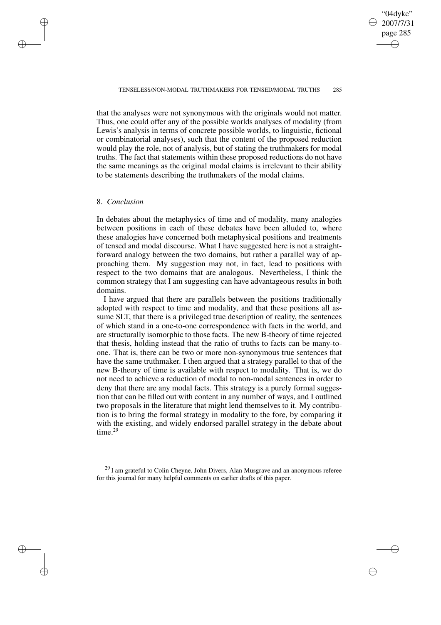✐

✐

that the analyses were not synonymous with the originals would not matter. Thus, one could offer any of the possible worlds analyses of modality (from Lewis's analysis in terms of concrete possible worlds, to linguistic, fictional or combinatorial analyses), such that the content of the proposed reduction would play the role, not of analysis, but of stating the truthmakers for modal truths. The fact that statements within these proposed reductions do not have the same meanings as the original modal claims is irrelevant to their ability to be statements describing the truthmakers of the modal claims.

## 8. *Conclusion*

✐

✐

✐

✐

In debates about the metaphysics of time and of modality, many analogies between positions in each of these debates have been alluded to, where these analogies have concerned both metaphysical positions and treatments of tensed and modal discourse. What I have suggested here is not a straightforward analogy between the two domains, but rather a parallel way of approaching them. My suggestion may not, in fact, lead to positions with respect to the two domains that are analogous. Nevertheless, I think the common strategy that I am suggesting can have advantageous results in both domains.

I have argued that there are parallels between the positions traditionally adopted with respect to time and modality, and that these positions all assume SLT, that there is a privileged true description of reality, the sentences of which stand in a one-to-one correspondence with facts in the world, and are structurally isomorphic to those facts. The new B-theory of time rejected that thesis, holding instead that the ratio of truths to facts can be many-toone. That is, there can be two or more non-synonymous true sentences that have the same truthmaker. I then argued that a strategy parallel to that of the new B-theory of time is available with respect to modality. That is, we do not need to achieve a reduction of modal to non-modal sentences in order to deny that there are any modal facts. This strategy is a purely formal suggestion that can be filled out with content in any number of ways, and I outlined two proposals in the literature that might lend themselves to it. My contribution is to bring the formal strategy in modality to the fore, by comparing it with the existing, and widely endorsed parallel strategy in the debate about time.<sup>29</sup>

<sup>&</sup>lt;sup>29</sup> I am grateful to Colin Cheyne, John Divers, Alan Musgrave and an anonymous referee for this journal for many helpful comments on earlier drafts of this paper.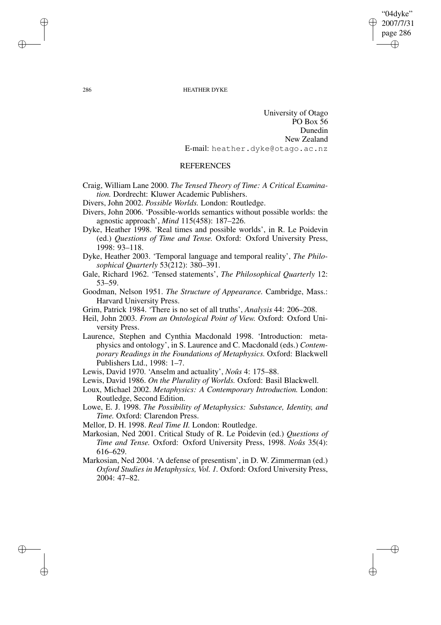"04dyke" 2007/7/31 page 286 ✐ ✐

✐

✐

## 286 HEATHER DYKE

University of Otago PO Box 56 Dunedin New Zealand E-mail: heather.dyke@otago.ac.nz

## **REFERENCES**

- Craig, William Lane 2000. *The Tensed Theory of Time: A Critical Examination.* Dordrecht: Kluwer Academic Publishers.
- Divers, John 2002. *Possible Worlds.* London: Routledge.
- Divers, John 2006. 'Possible-worlds semantics without possible worlds: the agnostic approach', *Mind* 115(458): 187–226.
- Dyke, Heather 1998. 'Real times and possible worlds', in R. Le Poidevin (ed.) *Questions of Time and Tense.* Oxford: Oxford University Press, 1998: 93–118.
- Dyke, Heather 2003. 'Temporal language and temporal reality', *The Philosophical Quarterly* 53(212): 380–391.
- Gale, Richard 1962. 'Tensed statements', *The Philosophical Quarterly* 12: 53–59.
- Goodman, Nelson 1951. *The Structure of Appearance.* Cambridge, Mass.: Harvard University Press.
- Grim, Patrick 1984. 'There is no set of all truths', *Analysis* 44: 206–208.
- Heil, John 2003. *From an Ontological Point of View.* Oxford: Oxford University Press.
- Laurence, Stephen and Cynthia Macdonald 1998. 'Introduction: metaphysics and ontology', in S. Laurence and C. Macdonald (eds.) *Contemporary Readings in the Foundations of Metaphysics.* Oxford: Blackwell Publishers Ltd., 1998: 1–7.
- Lewis, David 1970. 'Anselm and actuality', *Noûs* 4: 175–88.
- Lewis, David 1986. *On the Plurality of Worlds.* Oxford: Basil Blackwell.
- Loux, Michael 2002. *Metaphysics: A Contemporary Introduction.* London: Routledge, Second Edition.
- Lowe, E. J. 1998. *The Possibility of Metaphysics: Substance, Identity, and Time.* Oxford: Clarendon Press.
- Mellor, D. H. 1998. *Real Time II.* London: Routledge.
- Markosian, Ned 2001. Critical Study of R. Le Poidevin (ed.) *Questions of Time and Tense.* Oxford: Oxford University Press, 1998. *Noûs* 35(4): 616–629.
- Markosian, Ned 2004. 'A defense of presentism', in D. W. Zimmerman (ed.) *Oxford Studies in Metaphysics, Vol. 1.* Oxford: Oxford University Press, 2004: 47–82.

✐

✐

✐